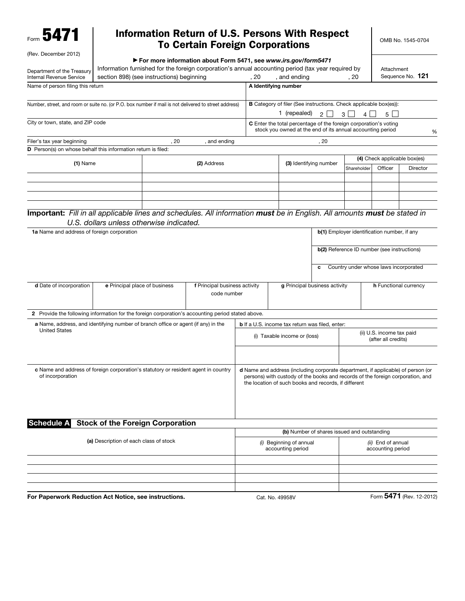Form 5471

## Information Return of U.S. Persons With Respect To Certain Foreign Corporations

OMB No. 1545-0704

| (Rev. December 2012)                                                                                                                                                                                      |                                          |             |                                                                |                                                        |                                                                                                                                        |                               |                                             |                                    |                              |  |
|-----------------------------------------------------------------------------------------------------------------------------------------------------------------------------------------------------------|------------------------------------------|-------------|----------------------------------------------------------------|--------------------------------------------------------|----------------------------------------------------------------------------------------------------------------------------------------|-------------------------------|---------------------------------------------|------------------------------------|------------------------------|--|
|                                                                                                                                                                                                           |                                          |             | For more information about Form 5471, see www.irs.gov/form5471 |                                                        |                                                                                                                                        |                               |                                             |                                    |                              |  |
| Information furnished for the foreign corporation's annual accounting period (tax year required by<br>Department of the Treasury<br>section 898) (see instructions) beginning<br>Internal Revenue Service |                                          |             | . 20                                                           | Attachment<br>Sequence No. 121<br>, and ending<br>, 20 |                                                                                                                                        |                               |                                             |                                    |                              |  |
| Name of person filing this return                                                                                                                                                                         |                                          |             |                                                                |                                                        | A Identifying number                                                                                                                   |                               |                                             |                                    |                              |  |
|                                                                                                                                                                                                           |                                          |             |                                                                |                                                        |                                                                                                                                        |                               |                                             |                                    |                              |  |
| Number, street, and room or suite no. (or P.O. box number if mail is not delivered to street address)                                                                                                     |                                          |             |                                                                |                                                        | <b>B</b> Category of filer (See instructions. Check applicable box(es)):                                                               |                               |                                             |                                    |                              |  |
|                                                                                                                                                                                                           |                                          |             |                                                                |                                                        | 1 (repealed)                                                                                                                           | $\overline{2}$                | 3 <sup>1</sup><br>4                         | $5 \mid$                           |                              |  |
| City or town, state, and ZIP code                                                                                                                                                                         |                                          |             |                                                                |                                                        |                                                                                                                                        |                               |                                             |                                    |                              |  |
|                                                                                                                                                                                                           |                                          |             |                                                                |                                                        | <b>C</b> Enter the total percentage of the foreign corporation's voting<br>stock you owned at the end of its annual accounting period  |                               |                                             |                                    | %                            |  |
| Filer's tax year beginning                                                                                                                                                                                |                                          | . 20        | , and ending                                                   |                                                        |                                                                                                                                        | , 20                          |                                             |                                    |                              |  |
| D Person(s) on whose behalf this information return is filed:                                                                                                                                             |                                          |             |                                                                |                                                        |                                                                                                                                        |                               |                                             |                                    |                              |  |
|                                                                                                                                                                                                           |                                          |             |                                                                |                                                        |                                                                                                                                        |                               |                                             |                                    | (4) Check applicable box(es) |  |
| $(1)$ Name                                                                                                                                                                                                |                                          | (2) Address |                                                                |                                                        |                                                                                                                                        | (3) Identifying number        |                                             | Officer<br>Director<br>Shareholder |                              |  |
|                                                                                                                                                                                                           |                                          |             |                                                                |                                                        |                                                                                                                                        |                               |                                             |                                    |                              |  |
|                                                                                                                                                                                                           |                                          |             |                                                                |                                                        |                                                                                                                                        |                               |                                             |                                    |                              |  |
|                                                                                                                                                                                                           |                                          |             |                                                                |                                                        |                                                                                                                                        |                               |                                             |                                    |                              |  |
|                                                                                                                                                                                                           |                                          |             |                                                                |                                                        |                                                                                                                                        |                               |                                             |                                    |                              |  |
| Important: Fill in all applicable lines and schedules. All information must be in English. All amounts must be stated in                                                                                  |                                          |             |                                                                |                                                        |                                                                                                                                        |                               |                                             |                                    |                              |  |
|                                                                                                                                                                                                           | U.S. dollars unless otherwise indicated. |             |                                                                |                                                        |                                                                                                                                        |                               |                                             |                                    |                              |  |
| 1a Name and address of foreign corporation                                                                                                                                                                |                                          |             |                                                                |                                                        |                                                                                                                                        |                               | b(1) Employer identification number, if any |                                    |                              |  |
|                                                                                                                                                                                                           |                                          |             |                                                                |                                                        |                                                                                                                                        |                               |                                             |                                    |                              |  |
|                                                                                                                                                                                                           |                                          |             |                                                                |                                                        |                                                                                                                                        |                               | b(2) Reference ID number (see instructions) |                                    |                              |  |
|                                                                                                                                                                                                           |                                          |             |                                                                |                                                        |                                                                                                                                        |                               |                                             |                                    |                              |  |
|                                                                                                                                                                                                           |                                          |             |                                                                |                                                        |                                                                                                                                        | c                             | Country under whose laws incorporated       |                                    |                              |  |
|                                                                                                                                                                                                           |                                          |             |                                                                |                                                        |                                                                                                                                        |                               |                                             |                                    |                              |  |
| d Date of incorporation<br>e Principal place of business                                                                                                                                                  |                                          |             | f Principal business activity                                  |                                                        |                                                                                                                                        | g Principal business activity | h Functional currency                       |                                    |                              |  |
|                                                                                                                                                                                                           |                                          |             | code number                                                    |                                                        |                                                                                                                                        |                               |                                             |                                    |                              |  |
|                                                                                                                                                                                                           |                                          |             |                                                                |                                                        |                                                                                                                                        |                               |                                             |                                    |                              |  |
| 2 Provide the following information for the foreign corporation's accounting period stated above.                                                                                                         |                                          |             |                                                                |                                                        |                                                                                                                                        |                               |                                             |                                    |                              |  |
| a Name, address, and identifying number of branch office or agent (if any) in the                                                                                                                         |                                          |             |                                                                |                                                        | <b>b</b> If a U.S. income tax return was filed, enter:                                                                                 |                               |                                             |                                    |                              |  |
| <b>United States</b>                                                                                                                                                                                      |                                          |             |                                                                |                                                        | (i) Taxable income or (loss)                                                                                                           |                               |                                             | (ii) U.S. income tax paid          |                              |  |
|                                                                                                                                                                                                           |                                          |             |                                                                |                                                        |                                                                                                                                        |                               |                                             | (after all credits)                |                              |  |
|                                                                                                                                                                                                           |                                          |             |                                                                |                                                        |                                                                                                                                        |                               |                                             |                                    |                              |  |
|                                                                                                                                                                                                           |                                          |             |                                                                |                                                        |                                                                                                                                        |                               |                                             |                                    |                              |  |
| c Name and address of foreign corporation's statutory or resident agent in country                                                                                                                        |                                          |             |                                                                |                                                        | d Name and address (including corporate department, if applicable) of person (or                                                       |                               |                                             |                                    |                              |  |
| of incorporation                                                                                                                                                                                          |                                          |             |                                                                |                                                        | persons) with custody of the books and records of the foreign corporation, and<br>the location of such books and records, if different |                               |                                             |                                    |                              |  |
|                                                                                                                                                                                                           |                                          |             |                                                                |                                                        |                                                                                                                                        |                               |                                             |                                    |                              |  |
|                                                                                                                                                                                                           |                                          |             |                                                                |                                                        |                                                                                                                                        |                               |                                             |                                    |                              |  |
|                                                                                                                                                                                                           |                                          |             |                                                                |                                                        |                                                                                                                                        |                               |                                             |                                    |                              |  |
|                                                                                                                                                                                                           |                                          |             |                                                                |                                                        |                                                                                                                                        |                               |                                             |                                    |                              |  |
| <b>Schedule A</b> Stock of the Foreign Corporation                                                                                                                                                        |                                          |             |                                                                |                                                        |                                                                                                                                        |                               |                                             |                                    |                              |  |
|                                                                                                                                                                                                           |                                          |             |                                                                | (b) Number of shares issued and outstanding            |                                                                                                                                        |                               |                                             |                                    |                              |  |
|                                                                                                                                                                                                           | (a) Description of each class of stock   |             |                                                                |                                                        | (i) Beginning of annual                                                                                                                |                               |                                             | (ii) End of annual                 |                              |  |
|                                                                                                                                                                                                           |                                          |             |                                                                |                                                        | accounting period                                                                                                                      |                               |                                             | accounting period                  |                              |  |
|                                                                                                                                                                                                           |                                          |             |                                                                |                                                        |                                                                                                                                        |                               |                                             |                                    |                              |  |
|                                                                                                                                                                                                           |                                          |             |                                                                |                                                        |                                                                                                                                        |                               |                                             |                                    |                              |  |
|                                                                                                                                                                                                           |                                          |             |                                                                |                                                        |                                                                                                                                        |                               |                                             |                                    |                              |  |
|                                                                                                                                                                                                           |                                          |             |                                                                |                                                        |                                                                                                                                        |                               |                                             |                                    |                              |  |
| For Paperwork Reduction Act Notice, see instructions.                                                                                                                                                     |                                          |             | Form 5471 (Rev. 12-2012)<br>Cat. No. 49958V                    |                                                        |                                                                                                                                        |                               |                                             |                                    |                              |  |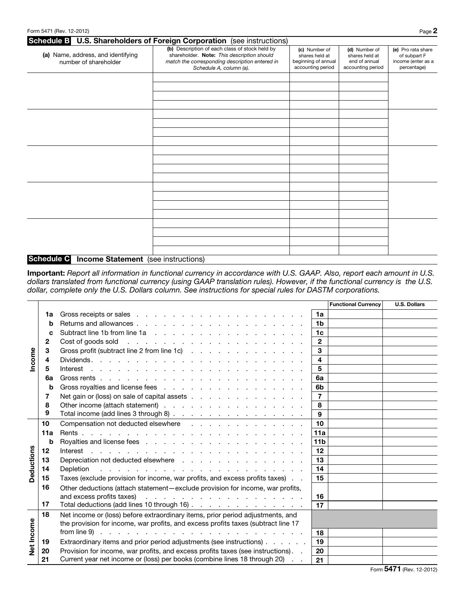|                                                             | Schedule B U.S. Shareholders of Foreign Corporation (see instructions)                                                                                                    |                                                                             |                                                                       |                                                                         |
|-------------------------------------------------------------|---------------------------------------------------------------------------------------------------------------------------------------------------------------------------|-----------------------------------------------------------------------------|-----------------------------------------------------------------------|-------------------------------------------------------------------------|
| (a) Name, address, and identifying<br>number of shareholder | (b) Description of each class of stock held by<br>shareholder. Note: This description should<br>match the corresponding description entered in<br>Schedule A, column (a). | (c) Number of<br>shares held at<br>beginning of annual<br>accounting period | (d) Number of<br>shares held at<br>end of annual<br>accounting period | (e) Pro rata share<br>of subpart F<br>income (enter as a<br>percentage) |
|                                                             |                                                                                                                                                                           |                                                                             |                                                                       |                                                                         |
|                                                             |                                                                                                                                                                           |                                                                             |                                                                       |                                                                         |
|                                                             |                                                                                                                                                                           |                                                                             |                                                                       |                                                                         |
|                                                             |                                                                                                                                                                           |                                                                             |                                                                       |                                                                         |
|                                                             |                                                                                                                                                                           |                                                                             |                                                                       |                                                                         |
|                                                             |                                                                                                                                                                           |                                                                             |                                                                       |                                                                         |
|                                                             |                                                                                                                                                                           |                                                                             |                                                                       |                                                                         |
|                                                             |                                                                                                                                                                           |                                                                             |                                                                       |                                                                         |
|                                                             |                                                                                                                                                                           |                                                                             |                                                                       |                                                                         |
|                                                             |                                                                                                                                                                           |                                                                             |                                                                       |                                                                         |
|                                                             |                                                                                                                                                                           |                                                                             |                                                                       |                                                                         |
|                                                             |                                                                                                                                                                           |                                                                             |                                                                       |                                                                         |
|                                                             |                                                                                                                                                                           |                                                                             |                                                                       |                                                                         |
|                                                             |                                                                                                                                                                           |                                                                             |                                                                       |                                                                         |
|                                                             |                                                                                                                                                                           |                                                                             |                                                                       |                                                                         |
| Schedule C<br><b>Income Statement</b> (see instructions)    |                                                                                                                                                                           |                                                                             |                                                                       |                                                                         |

Important: *Report all information in functional currency in accordance with U.S. GAAP. Also, report each amount in U.S. dollars translated from functional currency (using GAAP translation rules). However, if the functional currency is the U.S. dollar, complete only the U.S. Dollars column. See instructions for special rules for DASTM corporations.*

|            |         |                                                                                                                                                                                                                                                      |                 | <b>Functional Currency</b> | <b>U.S. Dollars</b>      |
|------------|---------|------------------------------------------------------------------------------------------------------------------------------------------------------------------------------------------------------------------------------------------------------|-----------------|----------------------------|--------------------------|
| Income     | 1a      |                                                                                                                                                                                                                                                      | 1a              |                            |                          |
|            | b       |                                                                                                                                                                                                                                                      | 1 <sub>b</sub>  |                            |                          |
|            | c       |                                                                                                                                                                                                                                                      | 1c              |                            |                          |
|            | 2       | and the contract of the contract of the contract of the contract of the contract of the contract of the contract of the contract of the contract of the contract of the contract of the contract of the contract of the contra<br>Cost of goods sold | $\mathbf{2}$    |                            |                          |
|            | 3       | Gross profit (subtract line 2 from line 1c)                                                                                                                                                                                                          | 3               |                            |                          |
|            | 4       |                                                                                                                                                                                                                                                      | 4               |                            |                          |
|            | 5       | Interest by a construction of the construction of the construction of the construction of the construction of the construction of the construction of the construction of the construction of the construction of the construc                       | 5               |                            |                          |
|            | 6a      |                                                                                                                                                                                                                                                      | 6a              |                            |                          |
|            | b       | Gross royalties and license fees                                                                                                                                                                                                                     | 6b              |                            |                          |
|            | 7       | Net gain or (loss) on sale of capital assets                                                                                                                                                                                                         | $\overline{7}$  |                            |                          |
|            | 8       | Other income (attach statement)                                                                                                                                                                                                                      | 8               |                            |                          |
|            | 9       | Total income (add lines 3 through 8)                                                                                                                                                                                                                 | 9               |                            |                          |
|            | 10      | Compensation not deducted elsewhere                                                                                                                                                                                                                  | 10              |                            |                          |
|            | 11a     |                                                                                                                                                                                                                                                      | 11a             |                            |                          |
|            | b       |                                                                                                                                                                                                                                                      | 11 <sub>b</sub> |                            |                          |
| Deductions | $12 \,$ |                                                                                                                                                                                                                                                      | 12              |                            |                          |
|            | 13      | Depreciation not deducted elsewhere                                                                                                                                                                                                                  | 13              |                            |                          |
|            | 14      | Depletion<br>المتعاون والمتعاون والمتعاون والمتعاون والمتعاون والمتعاون والمتعاون والمتعاونة                                                                                                                                                         | 14              |                            |                          |
|            | 15      | Taxes (exclude provision for income, war profits, and excess profits taxes)                                                                                                                                                                          | 15              |                            |                          |
|            | 16      | Other deductions (attach statement-exclude provision for income, war profits,                                                                                                                                                                        |                 |                            |                          |
|            |         | and excess profits taxes)<br>المتعاطي والمتعاطي والمتعاطي والمتعاط والمتعاط والمتعاط                                                                                                                                                                 | 16              |                            |                          |
|            | 17      | Total deductions (add lines 10 through 16)                                                                                                                                                                                                           | 17              |                            |                          |
|            | 18      | Net income or (loss) before extraordinary items, prior period adjustments, and                                                                                                                                                                       |                 |                            |                          |
|            |         | the provision for income, war profits, and excess profits taxes (subtract line 17                                                                                                                                                                    |                 |                            |                          |
| Net Income |         | from line 9)<br>المتعاون والمتعاون والمتعاون والمتعاون والمتعاون والمتعاون والمتعاون والمتعاون                                                                                                                                                       | 18              |                            |                          |
|            | 19      | Extraordinary items and prior period adjustments (see instructions)                                                                                                                                                                                  | 19              |                            |                          |
|            | 20      | Provision for income, war profits, and excess profits taxes (see instructions). .                                                                                                                                                                    | 20              |                            |                          |
|            | 21      | Current year net income or (loss) per books (combine lines 18 through 20)                                                                                                                                                                            | 21              |                            |                          |
|            |         |                                                                                                                                                                                                                                                      |                 |                            | Form 5471 (Rev. 12-2012) |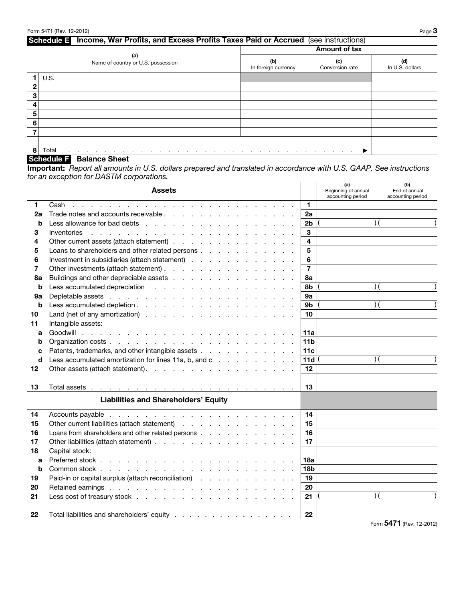## Schedule E Income, War Profits, and Excess Profits Taxes Paid or Accrued (see instructions) Amount of tax (a) Name of country or U.S. possession  $(b)$ In foreign currency (c) Conversion rate (d) In U.S. dollars  $1$  U.S. 2 3 4 5 6 7 8 Total . . . . . . . . . . . . . . . . . . . . . . . . . . . . . . . . ▶

## Schedule F Balance Sheet

Important: *Report all amounts in U.S. dollars prepared and translated in accordance with U.S. GAAP. See instructions for an exception for DASTM corporations.*

|    | <b>Assets</b>                                                                                                           |                 | (a)<br>Beginning of annual<br>accounting period | (b)<br>End of annual<br>accounting period |
|----|-------------------------------------------------------------------------------------------------------------------------|-----------------|-------------------------------------------------|-------------------------------------------|
| 1  | Cash<br>the contract of the contract of the contract of the contract of the contract of the contract of the contract of | 1               |                                                 |                                           |
| 2a | Trade notes and accounts receivable                                                                                     | 2a              |                                                 |                                           |
| b  | Less allowance for bad debts                                                                                            | 2 <sub>b</sub>  |                                                 |                                           |
| 3  | Inventories                                                                                                             | 3               |                                                 |                                           |
| 4  | Other current assets (attach statement)                                                                                 | 4               |                                                 |                                           |
| 5  | Loans to shareholders and other related persons                                                                         | 5               |                                                 |                                           |
| 6  | Investment in subsidiaries (attach statement)                                                                           | 6               |                                                 |                                           |
| 7  | Other investments (attach statement)                                                                                    | $\overline{7}$  |                                                 |                                           |
| 8a |                                                                                                                         | 8а              |                                                 |                                           |
| b  | Less accumulated depreciation                                                                                           | 8b              |                                                 |                                           |
| 9а | Depletable assets                                                                                                       | 9а              |                                                 |                                           |
| b  | Less accumulated depletion.                                                                                             | 9b              |                                                 |                                           |
| 10 | Land (net of any amortization)                                                                                          | 10              |                                                 |                                           |
| 11 | Intangible assets:                                                                                                      |                 |                                                 |                                           |
| a  |                                                                                                                         | 11a             |                                                 |                                           |
| b  |                                                                                                                         | 11 <sub>b</sub> |                                                 |                                           |
| C  | Patents, trademarks, and other intangible assets                                                                        | 11c             |                                                 |                                           |
| d  | Less accumulated amortization for lines 11a, b, and c                                                                   | 11d             |                                                 |                                           |
| 12 | Other assets (attach statement).                                                                                        | 12              |                                                 |                                           |
|    |                                                                                                                         |                 |                                                 |                                           |
| 13 |                                                                                                                         | 13              |                                                 |                                           |
|    | <b>Liabilities and Shareholders' Equity</b>                                                                             |                 |                                                 |                                           |
| 14 |                                                                                                                         | 14              |                                                 |                                           |
| 15 | Other current liabilities (attach statement)                                                                            | 15              |                                                 |                                           |
| 16 | Loans from shareholders and other related persons                                                                       | 16              |                                                 |                                           |
| 17 |                                                                                                                         | 17              |                                                 |                                           |
| 18 | Capital stock:                                                                                                          |                 |                                                 |                                           |
| a  | Preferred stock                                                                                                         | 18a             |                                                 |                                           |
| b  |                                                                                                                         | 18 <sub>b</sub> |                                                 |                                           |
| 19 | Paid-in or capital surplus (attach reconciliation)                                                                      | 19              |                                                 |                                           |
| 20 | Retained earnings                                                                                                       | 20              |                                                 |                                           |
| 21 |                                                                                                                         | 21              |                                                 | ) (                                       |
| 22 | Total liabilities and shareholders' equity                                                                              | 22              |                                                 |                                           |
|    |                                                                                                                         |                 | $\sim$                                          | $E A74 = 10,0010$                         |

Form 5471 (Rev. 12-2012)